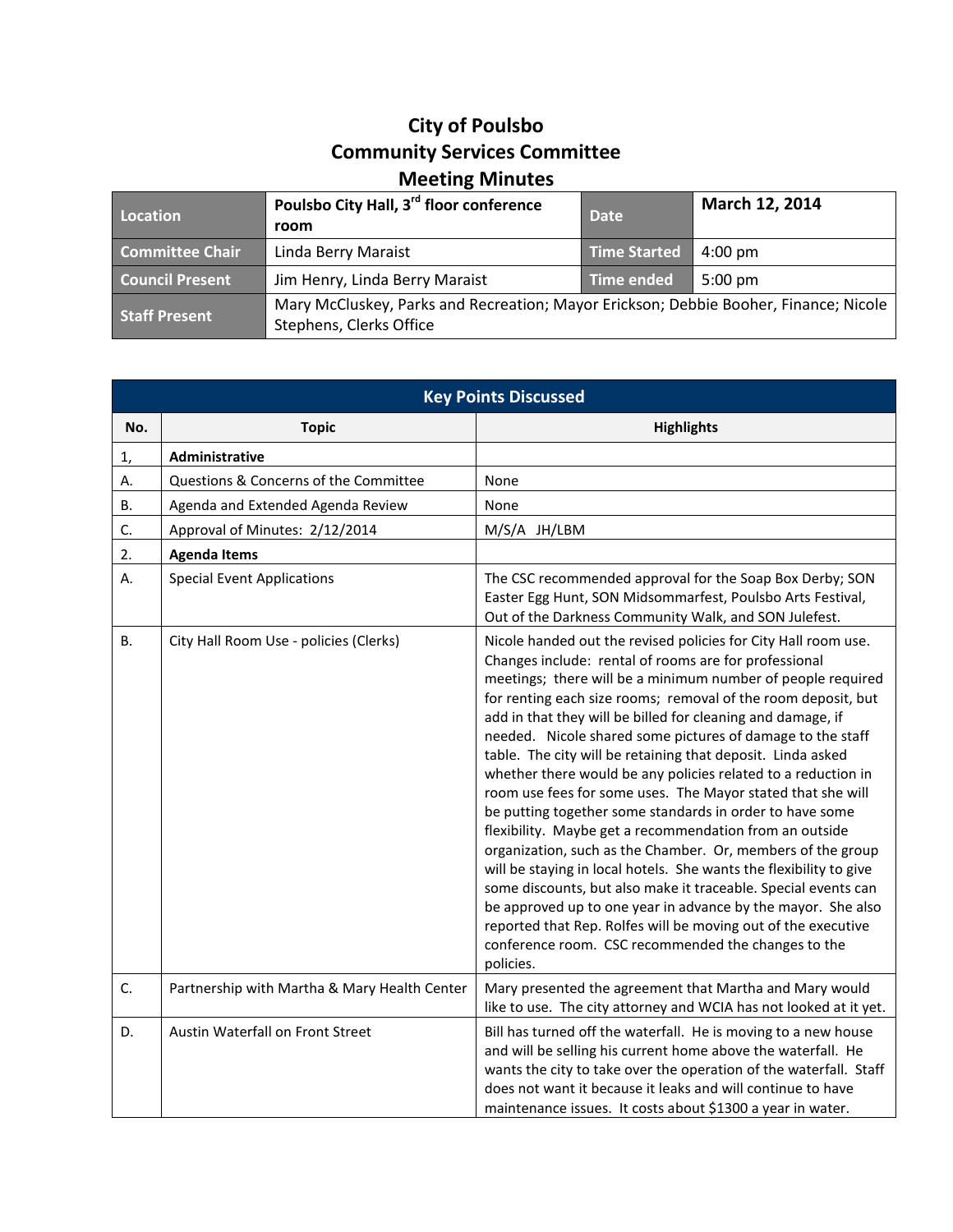## **City of Poulsbo Community Services Committee Meeting Minutes**

| Location               | Poulsbo City Hall, 3 <sup>rd</sup> floor conference<br>room                                                     | <b>Date</b>         | March 12, 2014    |
|------------------------|-----------------------------------------------------------------------------------------------------------------|---------------------|-------------------|
| <b>Committee Chair</b> | Linda Berry Maraist                                                                                             | <b>Time Started</b> | $4:00 \text{ pm}$ |
| <b>Council Present</b> | Jim Henry, Linda Berry Maraist                                                                                  | Time ended          | $5:00 \text{ pm}$ |
| <b>Staff Present</b>   | Mary McCluskey, Parks and Recreation; Mayor Erickson; Debbie Booher, Finance; Nicole<br>Stephens, Clerks Office |                     |                   |

| <b>Key Points Discussed</b> |                                              |                                                                                                                                                                                                                                                                                                                                                                                                                                                                                                                                                                                                                                                                                                                                                                                                                                                                                                                                                                                                                                                                                                                        |  |  |
|-----------------------------|----------------------------------------------|------------------------------------------------------------------------------------------------------------------------------------------------------------------------------------------------------------------------------------------------------------------------------------------------------------------------------------------------------------------------------------------------------------------------------------------------------------------------------------------------------------------------------------------------------------------------------------------------------------------------------------------------------------------------------------------------------------------------------------------------------------------------------------------------------------------------------------------------------------------------------------------------------------------------------------------------------------------------------------------------------------------------------------------------------------------------------------------------------------------------|--|--|
| No.                         | <b>Topic</b>                                 | <b>Highlights</b>                                                                                                                                                                                                                                                                                                                                                                                                                                                                                                                                                                                                                                                                                                                                                                                                                                                                                                                                                                                                                                                                                                      |  |  |
| 1,                          | Administrative                               |                                                                                                                                                                                                                                                                                                                                                                                                                                                                                                                                                                                                                                                                                                                                                                                                                                                                                                                                                                                                                                                                                                                        |  |  |
| А.                          | Questions & Concerns of the Committee        | None                                                                                                                                                                                                                                                                                                                                                                                                                                                                                                                                                                                                                                                                                                                                                                                                                                                                                                                                                                                                                                                                                                                   |  |  |
| <b>B.</b>                   | Agenda and Extended Agenda Review            | None                                                                                                                                                                                                                                                                                                                                                                                                                                                                                                                                                                                                                                                                                                                                                                                                                                                                                                                                                                                                                                                                                                                   |  |  |
| C.                          | Approval of Minutes: 2/12/2014               | M/S/A JH/LBM                                                                                                                                                                                                                                                                                                                                                                                                                                                                                                                                                                                                                                                                                                                                                                                                                                                                                                                                                                                                                                                                                                           |  |  |
| 2.<br><b>Agenda Items</b>   |                                              |                                                                                                                                                                                                                                                                                                                                                                                                                                                                                                                                                                                                                                                                                                                                                                                                                                                                                                                                                                                                                                                                                                                        |  |  |
| А.                          | <b>Special Event Applications</b>            | The CSC recommended approval for the Soap Box Derby; SON<br>Easter Egg Hunt, SON Midsommarfest, Poulsbo Arts Festival,<br>Out of the Darkness Community Walk, and SON Julefest.                                                                                                                                                                                                                                                                                                                                                                                                                                                                                                                                                                                                                                                                                                                                                                                                                                                                                                                                        |  |  |
| <b>B.</b>                   | City Hall Room Use - policies (Clerks)       | Nicole handed out the revised policies for City Hall room use.<br>Changes include: rental of rooms are for professional<br>meetings; there will be a minimum number of people required<br>for renting each size rooms; removal of the room deposit, but<br>add in that they will be billed for cleaning and damage, if<br>needed. Nicole shared some pictures of damage to the staff<br>table. The city will be retaining that deposit. Linda asked<br>whether there would be any policies related to a reduction in<br>room use fees for some uses. The Mayor stated that she will<br>be putting together some standards in order to have some<br>flexibility. Maybe get a recommendation from an outside<br>organization, such as the Chamber. Or, members of the group<br>will be staying in local hotels. She wants the flexibility to give<br>some discounts, but also make it traceable. Special events can<br>be approved up to one year in advance by the mayor. She also<br>reported that Rep. Rolfes will be moving out of the executive<br>conference room. CSC recommended the changes to the<br>policies. |  |  |
| C.                          | Partnership with Martha & Mary Health Center | Mary presented the agreement that Martha and Mary would<br>like to use. The city attorney and WCIA has not looked at it yet.                                                                                                                                                                                                                                                                                                                                                                                                                                                                                                                                                                                                                                                                                                                                                                                                                                                                                                                                                                                           |  |  |
| D.                          | Austin Waterfall on Front Street             | Bill has turned off the waterfall. He is moving to a new house<br>and will be selling his current home above the waterfall. He<br>wants the city to take over the operation of the waterfall. Staff<br>does not want it because it leaks and will continue to have<br>maintenance issues. It costs about \$1300 a year in water.                                                                                                                                                                                                                                                                                                                                                                                                                                                                                                                                                                                                                                                                                                                                                                                       |  |  |